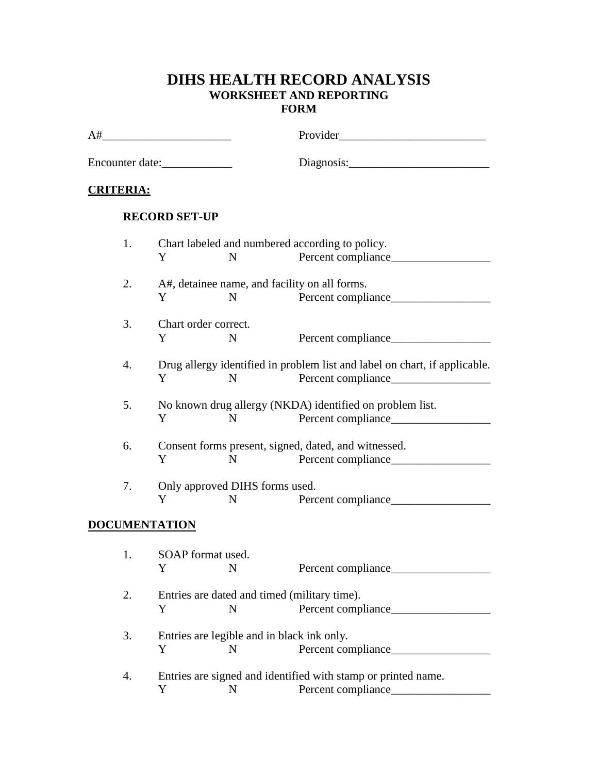## **DIHS HEALTH RECORD ANALYSIS WORKSHEET AND REPORTING FORM**

| A# |                  | <u> 1989 - Johann Stein, mars an t-Amerikaansk kommunister (</u>                 |                                                   |                                                                                            |  |
|----|------------------|----------------------------------------------------------------------------------|---------------------------------------------------|--------------------------------------------------------------------------------------------|--|
|    |                  | Encounter date:                                                                  |                                                   |                                                                                            |  |
|    | <b>CRITERIA:</b> |                                                                                  |                                                   |                                                                                            |  |
|    |                  | <b>RECORD SET-UP</b>                                                             |                                                   |                                                                                            |  |
|    | 1.               | Y                                                                                | N                                                 | Chart labeled and numbered according to policy.                                            |  |
|    | 2.               | Y                                                                                | N                                                 | A#, detainee name, and facility on all forms.                                              |  |
|    | 3.               | Chart order correct.<br>Y                                                        | N                                                 |                                                                                            |  |
|    | 4.               | Y                                                                                | N                                                 | Drug allergy identified in problem list and label on chart, if applicable.                 |  |
|    | 5.               | Y                                                                                | N                                                 | No known drug allergy (NKDA) identified on problem list.                                   |  |
|    | 6.               | Y                                                                                | N                                                 | Consent forms present, signed, dated, and witnessed.                                       |  |
|    | 7.               | Y                                                                                | Only approved DIHS forms used.<br>$\mathbf N$     |                                                                                            |  |
|    |                  | <b>DOCUMENTATION</b>                                                             |                                                   |                                                                                            |  |
|    | 1.               | SOAP format used.<br>Y N                                                         |                                                   |                                                                                            |  |
|    | 2.               | Y                                                                                | Entries are dated and timed (military time).<br>N | Percent compliance                                                                         |  |
|    | 3.               | Entries are legible and in black ink only.<br>Y<br>Percent compliance______<br>N |                                                   |                                                                                            |  |
|    | 4.               | Y                                                                                | N                                                 | Entries are signed and identified with stamp or printed name.<br>Percent compliance_______ |  |